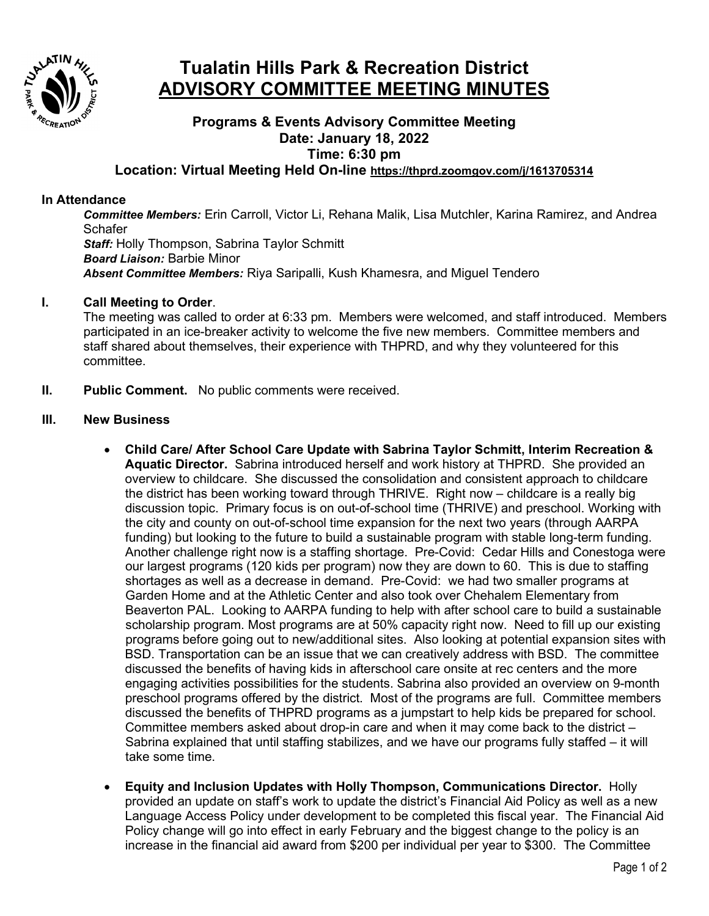

# **Tualatin Hills Park & Recreation District ADVISORY COMMITTEE MEETING MINUTES**

## **Programs & Events Advisory Committee Meeting Date: January 18, 2022 Time: 6:30 pm**

### **Location: Virtual Meeting Held On-line <https://thprd.zoomgov.com/j/1613705314>**

#### **In Attendance**

*Committee Members:* Erin Carroll, Victor Li, Rehana Malik, Lisa Mutchler, Karina Ramirez, and Andrea **Schafer** *Staff:* Holly Thompson, Sabrina Taylor Schmitt *Board Liaison:* Barbie Minor *Absent Committee Members:* Riya Saripalli, Kush Khamesra, and Miguel Tendero

#### **I. Call Meeting to Order**.

The meeting was called to order at 6:33 pm. Members were welcomed, and staff introduced. Members participated in an ice-breaker activity to welcome the five new members. Committee members and staff shared about themselves, their experience with THPRD, and why they volunteered for this committee.

**II. Public Comment.** No public comments were received.

#### **III. New Business**

- **Child Care/ After School Care Update with Sabrina Taylor Schmitt, Interim Recreation & Aquatic Director.** Sabrina introduced herself and work history at THPRD. She provided an overview to childcare. She discussed the consolidation and consistent approach to childcare the district has been working toward through THRIVE. Right now – childcare is a really big discussion topic. Primary focus is on out-of-school time (THRIVE) and preschool. Working with the city and county on out-of-school time expansion for the next two years (through AARPA funding) but looking to the future to build a sustainable program with stable long-term funding. Another challenge right now is a staffing shortage. Pre-Covid: Cedar Hills and Conestoga were our largest programs (120 kids per program) now they are down to 60. This is due to staffing shortages as well as a decrease in demand. Pre-Covid: we had two smaller programs at Garden Home and at the Athletic Center and also took over Chehalem Elementary from Beaverton PAL. Looking to AARPA funding to help with after school care to build a sustainable scholarship program. Most programs are at 50% capacity right now. Need to fill up our existing programs before going out to new/additional sites. Also looking at potential expansion sites with BSD. Transportation can be an issue that we can creatively address with BSD. The committee discussed the benefits of having kids in afterschool care onsite at rec centers and the more engaging activities possibilities for the students. Sabrina also provided an overview on 9-month preschool programs offered by the district. Most of the programs are full. Committee members discussed the benefits of THPRD programs as a jumpstart to help kids be prepared for school. Committee members asked about drop-in care and when it may come back to the district – Sabrina explained that until staffing stabilizes, and we have our programs fully staffed – it will take some time.
- **Equity and Inclusion Updates with Holly Thompson, Communications Director.** Holly provided an update on staff's work to update the district's Financial Aid Policy as well as a new Language Access Policy under development to be completed this fiscal year. The Financial Aid Policy change will go into effect in early February and the biggest change to the policy is an increase in the financial aid award from \$200 per individual per year to \$300. The Committee